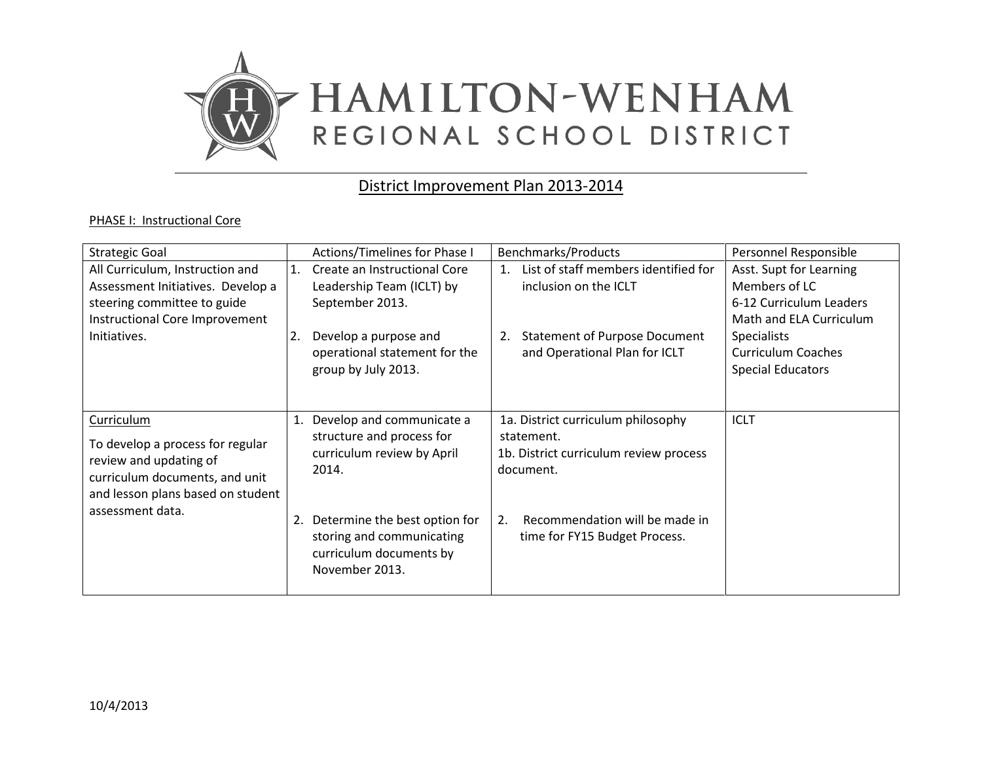

# District Improvement Plan 2013-2014

#### PHASE I: Instructional Core

| <b>Strategic Goal</b>                                                                                                                                                      | Actions/Timelines for Phase I                                                                                                                                                                                  | <b>Benchmarks/Products</b>                                                                                                                                                       | Personnel Responsible                                                                                                                                                         |
|----------------------------------------------------------------------------------------------------------------------------------------------------------------------------|----------------------------------------------------------------------------------------------------------------------------------------------------------------------------------------------------------------|----------------------------------------------------------------------------------------------------------------------------------------------------------------------------------|-------------------------------------------------------------------------------------------------------------------------------------------------------------------------------|
| All Curriculum, Instruction and<br>Assessment Initiatives. Develop a<br>steering committee to guide<br>Instructional Core Improvement<br>Initiatives.                      | Create an Instructional Core<br>1.<br>Leadership Team (ICLT) by<br>September 2013.<br>Develop a purpose and<br>2.<br>operational statement for the<br>group by July 2013.                                      | List of staff members identified for<br>$\mathbf{1}$ .<br>inclusion on the ICLT<br><b>Statement of Purpose Document</b><br>2.<br>and Operational Plan for ICLT                   | Asst. Supt for Learning<br>Members of LC<br>6-12 Curriculum Leaders<br>Math and ELA Curriculum<br><b>Specialists</b><br><b>Curriculum Coaches</b><br><b>Special Educators</b> |
| <b>Curriculum</b><br>To develop a process for regular<br>review and updating of<br>curriculum documents, and unit<br>and lesson plans based on student<br>assessment data. | 1. Develop and communicate a<br>structure and process for<br>curriculum review by April<br>2014.<br>2. Determine the best option for<br>storing and communicating<br>curriculum documents by<br>November 2013. | 1a. District curriculum philosophy<br>statement.<br>1b. District curriculum review process<br>document.<br>Recommendation will be made in<br>2.<br>time for FY15 Budget Process. | <b>ICLT</b>                                                                                                                                                                   |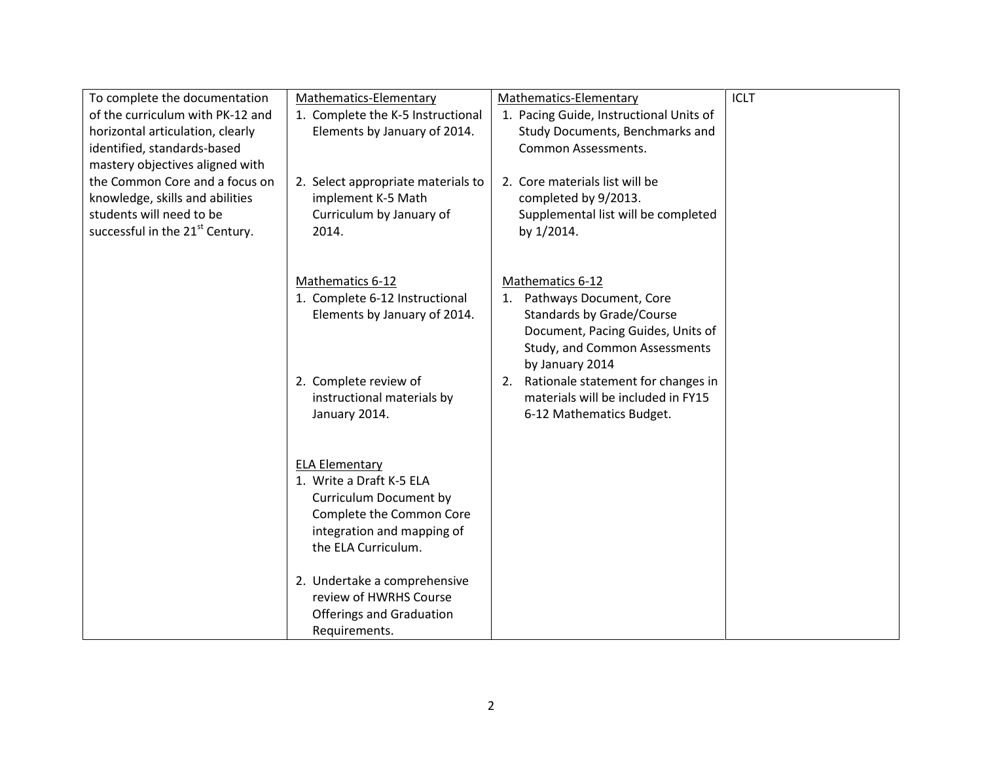| To complete the documentation               | Mathematics-Elementary                            | Mathematics-Elementary                  | <b>ICLT</b> |
|---------------------------------------------|---------------------------------------------------|-----------------------------------------|-------------|
| of the curriculum with PK-12 and            | 1. Complete the K-5 Instructional                 | 1. Pacing Guide, Instructional Units of |             |
| horizontal articulation, clearly            | Elements by January of 2014.                      | Study Documents, Benchmarks and         |             |
| identified, standards-based                 |                                                   | <b>Common Assessments.</b>              |             |
| mastery objectives aligned with             |                                                   |                                         |             |
| the Common Core and a focus on              | 2. Select appropriate materials to                | 2. Core materials list will be          |             |
| knowledge, skills and abilities             | implement K-5 Math                                | completed by 9/2013.                    |             |
| students will need to be                    | Curriculum by January of                          | Supplemental list will be completed     |             |
| successful in the 21 <sup>st</sup> Century. | 2014.                                             | by 1/2014.                              |             |
|                                             |                                                   |                                         |             |
|                                             | Mathematics 6-12                                  | Mathematics 6-12                        |             |
|                                             | 1. Complete 6-12 Instructional                    | 1. Pathways Document, Core              |             |
|                                             | Elements by January of 2014.                      | Standards by Grade/Course               |             |
|                                             |                                                   | Document, Pacing Guides, Units of       |             |
|                                             |                                                   | Study, and Common Assessments           |             |
|                                             |                                                   | by January 2014                         |             |
|                                             | 2. Complete review of                             | 2. Rationale statement for changes in   |             |
|                                             | instructional materials by                        | materials will be included in FY15      |             |
|                                             | January 2014.                                     | 6-12 Mathematics Budget.                |             |
|                                             |                                                   |                                         |             |
|                                             |                                                   |                                         |             |
|                                             | <b>ELA Elementary</b><br>1. Write a Draft K-5 ELA |                                         |             |
|                                             | <b>Curriculum Document by</b>                     |                                         |             |
|                                             | Complete the Common Core                          |                                         |             |
|                                             | integration and mapping of                        |                                         |             |
|                                             | the ELA Curriculum.                               |                                         |             |
|                                             |                                                   |                                         |             |
|                                             | 2. Undertake a comprehensive                      |                                         |             |
|                                             | review of HWRHS Course                            |                                         |             |
|                                             | <b>Offerings and Graduation</b>                   |                                         |             |
|                                             | Requirements.                                     |                                         |             |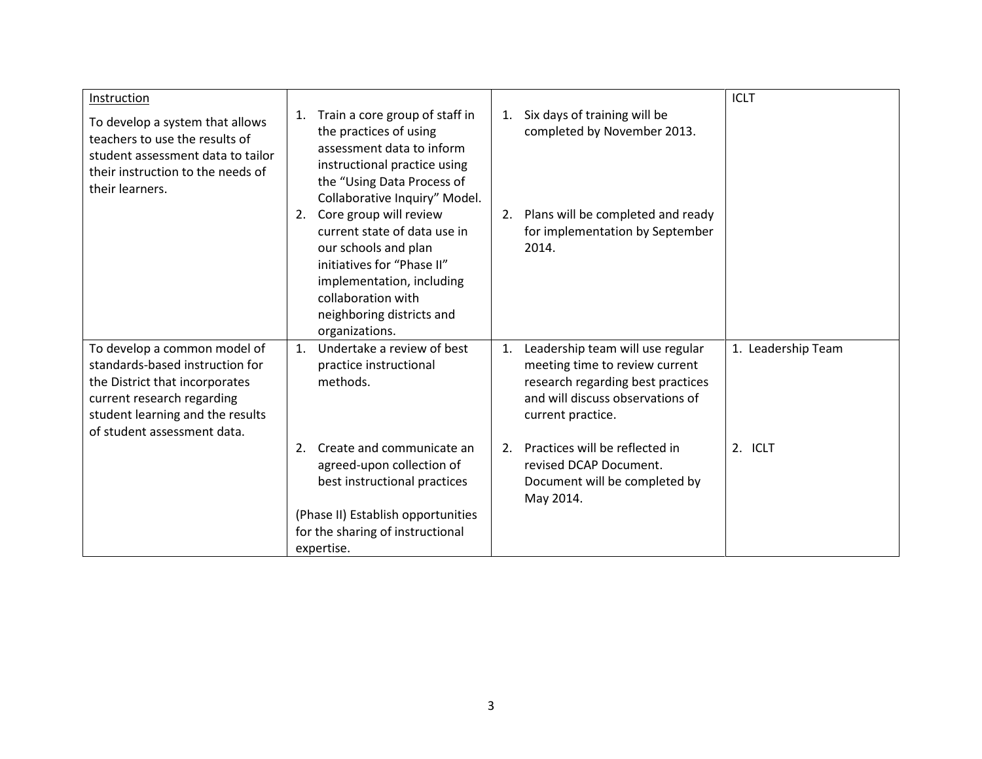| Instruction                                                                                                                                                                                        |                                                                                                                                                                                                                      |                                                                                                                                                                        | <b>ICLT</b>        |
|----------------------------------------------------------------------------------------------------------------------------------------------------------------------------------------------------|----------------------------------------------------------------------------------------------------------------------------------------------------------------------------------------------------------------------|------------------------------------------------------------------------------------------------------------------------------------------------------------------------|--------------------|
| To develop a system that allows<br>teachers to use the results of<br>student assessment data to tailor<br>their instruction to the needs of<br>their learners.                                     | Train a core group of staff in<br>1.<br>the practices of using<br>assessment data to inform<br>instructional practice using<br>the "Using Data Process of<br>Collaborative Inquiry" Model.                           | Six days of training will be<br>1.<br>completed by November 2013.                                                                                                      |                    |
|                                                                                                                                                                                                    | Core group will review<br>2.<br>current state of data use in<br>our schools and plan<br>initiatives for "Phase II"<br>implementation, including<br>collaboration with<br>neighboring districts and<br>organizations. | Plans will be completed and ready<br>2.<br>for implementation by September<br>2014.                                                                                    |                    |
| To develop a common model of<br>standards-based instruction for<br>the District that incorporates<br>current research regarding<br>student learning and the results<br>of student assessment data. | Undertake a review of best<br>1.<br>practice instructional<br>methods.                                                                                                                                               | Leadership team will use regular<br>1.<br>meeting time to review current<br>research regarding best practices<br>and will discuss observations of<br>current practice. | 1. Leadership Team |
|                                                                                                                                                                                                    | Create and communicate an<br>2.<br>agreed-upon collection of<br>best instructional practices<br>(Phase II) Establish opportunities<br>for the sharing of instructional<br>expertise.                                 | Practices will be reflected in<br>2.<br>revised DCAP Document.<br>Document will be completed by<br>May 2014.                                                           | 2. ICLT            |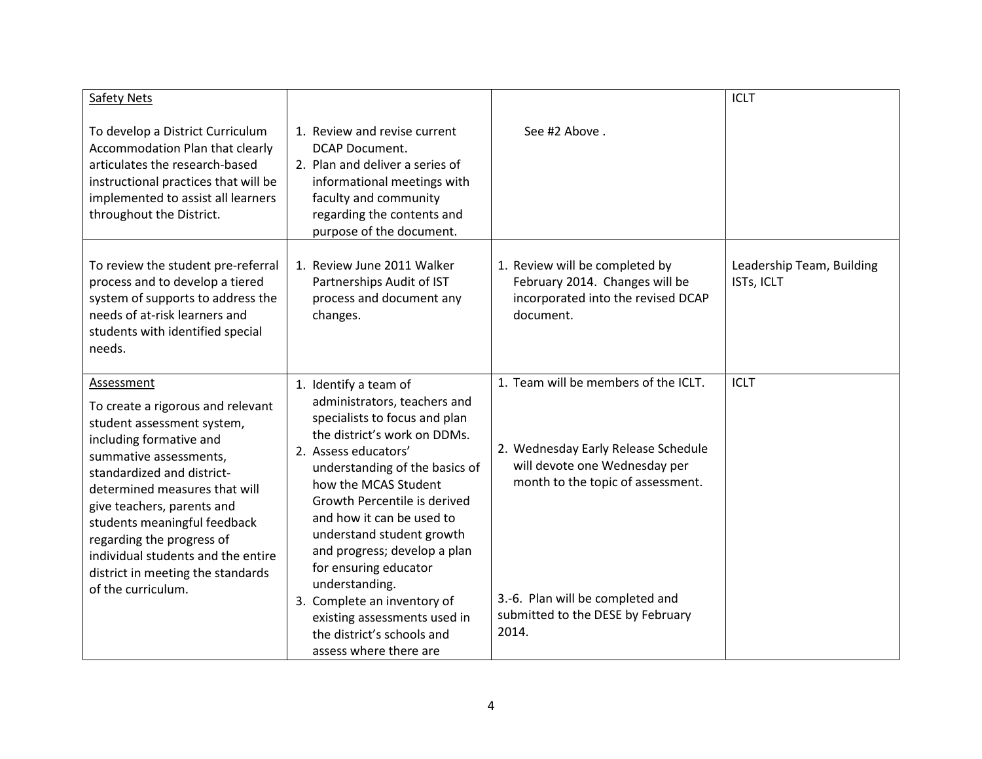| <b>Safety Nets</b>                                                                                                                                                                                                                                                                                                                                                                            |                                                                                                                                                                                                                                                                                                                                                                                                                                                                                                      |                                                                                                                                                                                                                                     | <b>ICLT</b>                             |
|-----------------------------------------------------------------------------------------------------------------------------------------------------------------------------------------------------------------------------------------------------------------------------------------------------------------------------------------------------------------------------------------------|------------------------------------------------------------------------------------------------------------------------------------------------------------------------------------------------------------------------------------------------------------------------------------------------------------------------------------------------------------------------------------------------------------------------------------------------------------------------------------------------------|-------------------------------------------------------------------------------------------------------------------------------------------------------------------------------------------------------------------------------------|-----------------------------------------|
| To develop a District Curriculum<br>Accommodation Plan that clearly<br>articulates the research-based<br>instructional practices that will be<br>implemented to assist all learners<br>throughout the District.                                                                                                                                                                               | 1. Review and revise current<br><b>DCAP Document.</b><br>2. Plan and deliver a series of<br>informational meetings with<br>faculty and community<br>regarding the contents and<br>purpose of the document.                                                                                                                                                                                                                                                                                           | See #2 Above.                                                                                                                                                                                                                       |                                         |
| To review the student pre-referral<br>process and to develop a tiered<br>system of supports to address the<br>needs of at-risk learners and<br>students with identified special<br>needs.                                                                                                                                                                                                     | 1. Review June 2011 Walker<br>Partnerships Audit of IST<br>process and document any<br>changes.                                                                                                                                                                                                                                                                                                                                                                                                      | 1. Review will be completed by<br>February 2014. Changes will be<br>incorporated into the revised DCAP<br>document.                                                                                                                 | Leadership Team, Building<br>ISTs, ICLT |
| Assessment<br>To create a rigorous and relevant<br>student assessment system,<br>including formative and<br>summative assessments,<br>standardized and district-<br>determined measures that will<br>give teachers, parents and<br>students meaningful feedback<br>regarding the progress of<br>individual students and the entire<br>district in meeting the standards<br>of the curriculum. | 1. Identify a team of<br>administrators, teachers and<br>specialists to focus and plan<br>the district's work on DDMs.<br>2. Assess educators'<br>understanding of the basics of<br>how the MCAS Student<br>Growth Percentile is derived<br>and how it can be used to<br>understand student growth<br>and progress; develop a plan<br>for ensuring educator<br>understanding.<br>3. Complete an inventory of<br>existing assessments used in<br>the district's schools and<br>assess where there are | 1. Team will be members of the ICLT.<br>2. Wednesday Early Release Schedule<br>will devote one Wednesday per<br>month to the topic of assessment.<br>3.-6. Plan will be completed and<br>submitted to the DESE by February<br>2014. | <b>ICLT</b>                             |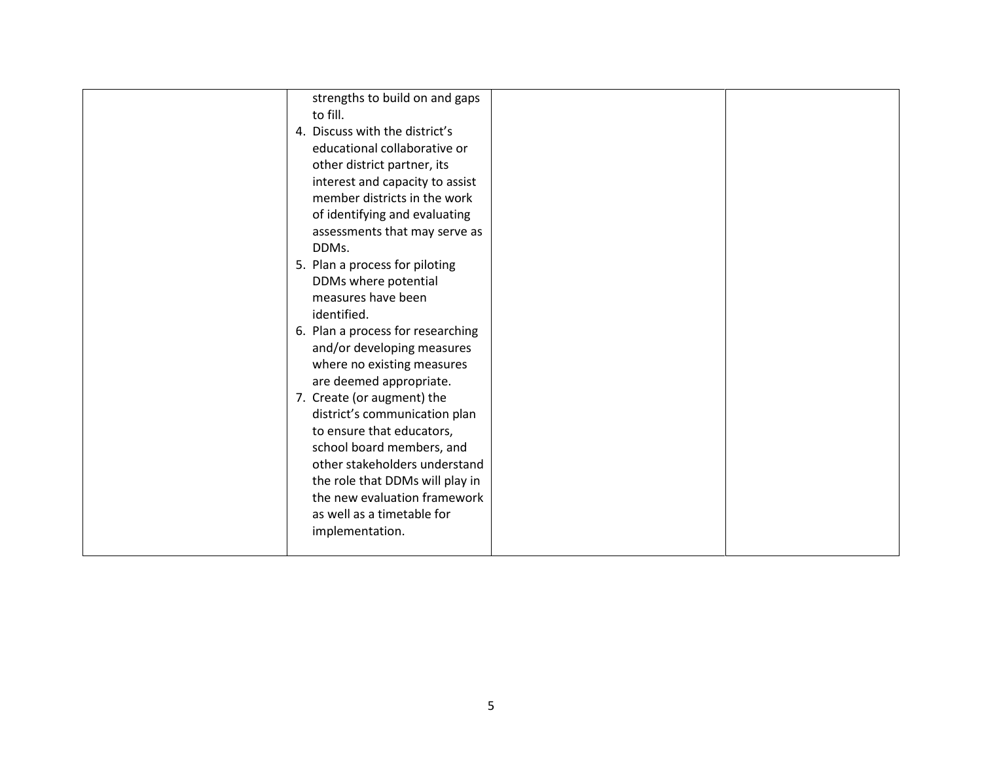| strengths to build on and gaps    |  |
|-----------------------------------|--|
| to fill.                          |  |
| 4. Discuss with the district's    |  |
| educational collaborative or      |  |
| other district partner, its       |  |
| interest and capacity to assist   |  |
| member districts in the work      |  |
| of identifying and evaluating     |  |
| assessments that may serve as     |  |
| DDMs.                             |  |
| 5. Plan a process for piloting    |  |
| DDMs where potential              |  |
| measures have been                |  |
| identified.                       |  |
| 6. Plan a process for researching |  |
| and/or developing measures        |  |
| where no existing measures        |  |
| are deemed appropriate.           |  |
| 7. Create (or augment) the        |  |
| district's communication plan     |  |
| to ensure that educators,         |  |
| school board members, and         |  |
| other stakeholders understand     |  |
| the role that DDMs will play in   |  |
| the new evaluation framework      |  |
| as well as a timetable for        |  |
| implementation.                   |  |
|                                   |  |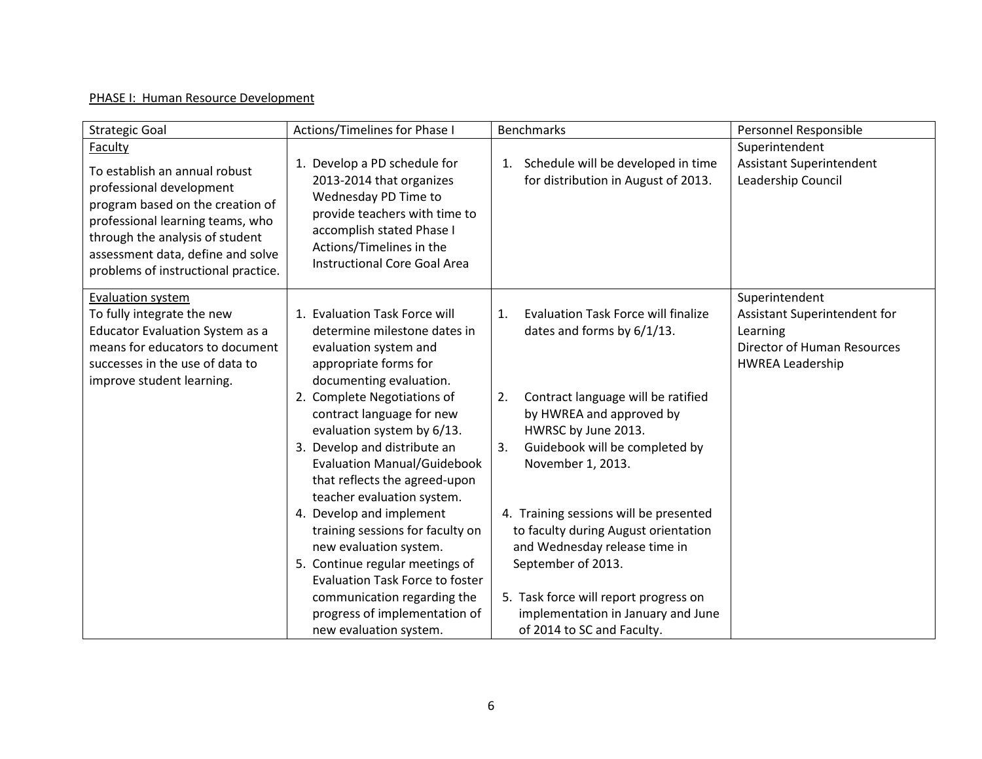## PHASE I: Human Resource Development

| <b>Strategic Goal</b>                                                                                                                                                                                                                                              | Actions/Timelines for Phase I                                                                                                                                                                                                                                                                                                                                                                                                                                                                                                                                                                                                              | <b>Benchmarks</b>                                                                                                                                                                                                                                                                                                                                                                                                                                                                                            | Personnel Responsible                                                                                                       |
|--------------------------------------------------------------------------------------------------------------------------------------------------------------------------------------------------------------------------------------------------------------------|--------------------------------------------------------------------------------------------------------------------------------------------------------------------------------------------------------------------------------------------------------------------------------------------------------------------------------------------------------------------------------------------------------------------------------------------------------------------------------------------------------------------------------------------------------------------------------------------------------------------------------------------|--------------------------------------------------------------------------------------------------------------------------------------------------------------------------------------------------------------------------------------------------------------------------------------------------------------------------------------------------------------------------------------------------------------------------------------------------------------------------------------------------------------|-----------------------------------------------------------------------------------------------------------------------------|
| <b>Faculty</b><br>To establish an annual robust<br>professional development<br>program based on the creation of<br>professional learning teams, who<br>through the analysis of student<br>assessment data, define and solve<br>problems of instructional practice. | 1. Develop a PD schedule for<br>2013-2014 that organizes<br>Wednesday PD Time to<br>provide teachers with time to<br>accomplish stated Phase I<br>Actions/Timelines in the<br><b>Instructional Core Goal Area</b>                                                                                                                                                                                                                                                                                                                                                                                                                          | Schedule will be developed in time<br>1.<br>for distribution in August of 2013.                                                                                                                                                                                                                                                                                                                                                                                                                              | Superintendent<br><b>Assistant Superintendent</b><br>Leadership Council                                                     |
| Evaluation system<br>To fully integrate the new<br>Educator Evaluation System as a<br>means for educators to document<br>successes in the use of data to<br>improve student learning.                                                                              | 1. Evaluation Task Force will<br>determine milestone dates in<br>evaluation system and<br>appropriate forms for<br>documenting evaluation.<br>2. Complete Negotiations of<br>contract language for new<br>evaluation system by 6/13.<br>3. Develop and distribute an<br><b>Evaluation Manual/Guidebook</b><br>that reflects the agreed-upon<br>teacher evaluation system.<br>4. Develop and implement<br>training sessions for faculty on<br>new evaluation system.<br>5. Continue regular meetings of<br><b>Evaluation Task Force to foster</b><br>communication regarding the<br>progress of implementation of<br>new evaluation system. | <b>Evaluation Task Force will finalize</b><br>$\mathbf{1}$ .<br>dates and forms by 6/1/13.<br>Contract language will be ratified<br>2.<br>by HWREA and approved by<br>HWRSC by June 2013.<br>Guidebook will be completed by<br>3.<br>November 1, 2013.<br>4. Training sessions will be presented<br>to faculty during August orientation<br>and Wednesday release time in<br>September of 2013.<br>5. Task force will report progress on<br>implementation in January and June<br>of 2014 to SC and Faculty. | Superintendent<br>Assistant Superintendent for<br>Learning<br><b>Director of Human Resources</b><br><b>HWREA Leadership</b> |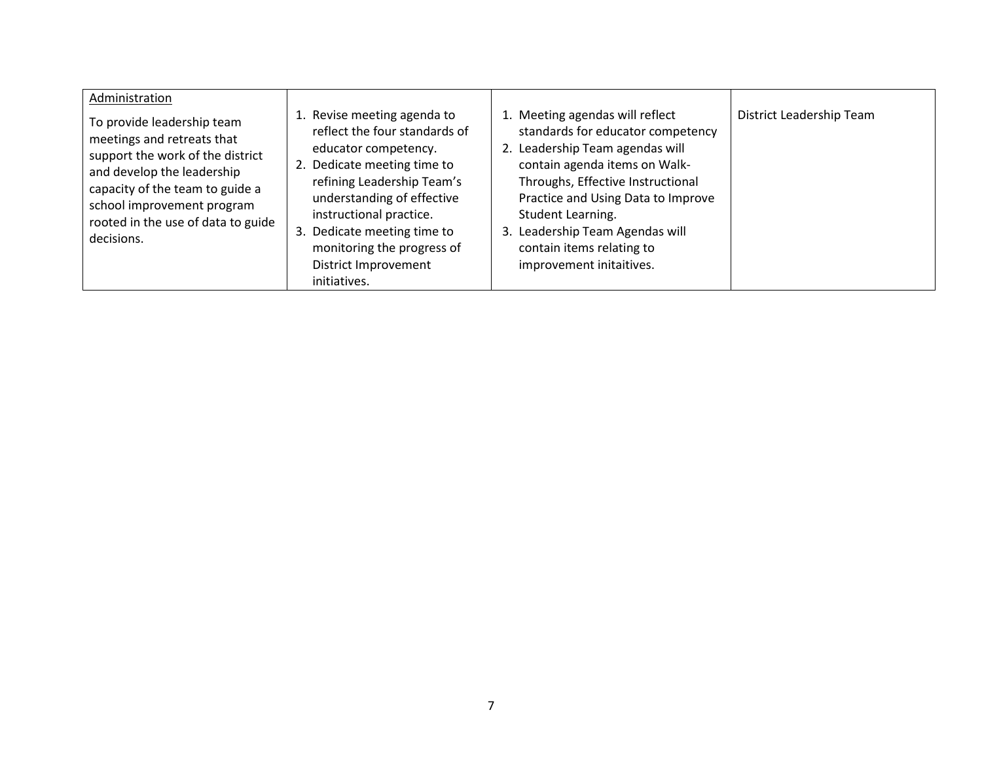| Administration                                                                                                                                                                                                                                  |                                                                                                                                                                                                                                                                                                                 |                                                                                                                                                                                                                                                                                                                                   |                          |
|-------------------------------------------------------------------------------------------------------------------------------------------------------------------------------------------------------------------------------------------------|-----------------------------------------------------------------------------------------------------------------------------------------------------------------------------------------------------------------------------------------------------------------------------------------------------------------|-----------------------------------------------------------------------------------------------------------------------------------------------------------------------------------------------------------------------------------------------------------------------------------------------------------------------------------|--------------------------|
| To provide leadership team<br>meetings and retreats that<br>support the work of the district<br>and develop the leadership<br>capacity of the team to guide a<br>school improvement program<br>rooted in the use of data to guide<br>decisions. | 1. Revise meeting agenda to<br>reflect the four standards of<br>educator competency.<br>2. Dedicate meeting time to<br>refining Leadership Team's<br>understanding of effective<br>instructional practice.<br>3. Dedicate meeting time to<br>monitoring the progress of<br>District Improvement<br>initiatives. | 1. Meeting agendas will reflect<br>standards for educator competency<br>Leadership Team agendas will<br>contain agenda items on Walk-<br>Throughs, Effective Instructional<br>Practice and Using Data to Improve<br>Student Learning.<br>3. Leadership Team Agendas will<br>contain items relating to<br>improvement initaitives. | District Leadership Team |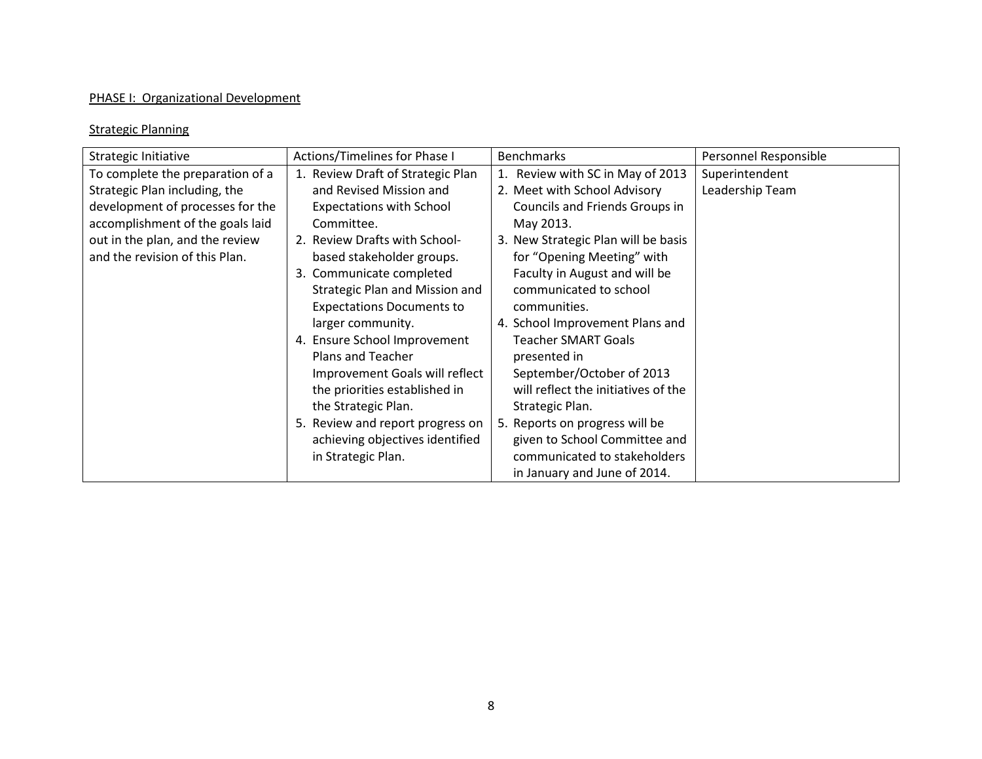## PHASE I: Organizational Development

#### Strategic Planning

| Strategic Initiative             | Actions/Timelines for Phase I     | <b>Benchmarks</b>                   | Personnel Responsible |
|----------------------------------|-----------------------------------|-------------------------------------|-----------------------|
| To complete the preparation of a | 1. Review Draft of Strategic Plan | 1. Review with SC in May of 2013    | Superintendent        |
| Strategic Plan including, the    | and Revised Mission and           | 2. Meet with School Advisory        | Leadership Team       |
| development of processes for the | <b>Expectations with School</b>   | Councils and Friends Groups in      |                       |
| accomplishment of the goals laid | Committee.                        | May 2013.                           |                       |
| out in the plan, and the review  | 2. Review Drafts with School-     | 3. New Strategic Plan will be basis |                       |
| and the revision of this Plan.   | based stakeholder groups.         | for "Opening Meeting" with          |                       |
|                                  | 3. Communicate completed          | Faculty in August and will be       |                       |
|                                  | Strategic Plan and Mission and    | communicated to school              |                       |
|                                  | <b>Expectations Documents to</b>  | communities.                        |                       |
|                                  | larger community.                 | 4. School Improvement Plans and     |                       |
|                                  | 4. Ensure School Improvement      | <b>Teacher SMART Goals</b>          |                       |
|                                  | Plans and Teacher                 | presented in                        |                       |
|                                  | Improvement Goals will reflect    | September/October of 2013           |                       |
|                                  | the priorities established in     | will reflect the initiatives of the |                       |
|                                  | the Strategic Plan.               | Strategic Plan.                     |                       |
|                                  | 5. Review and report progress on  | 5. Reports on progress will be      |                       |
|                                  | achieving objectives identified   | given to School Committee and       |                       |
|                                  | in Strategic Plan.                | communicated to stakeholders        |                       |
|                                  |                                   | in January and June of 2014.        |                       |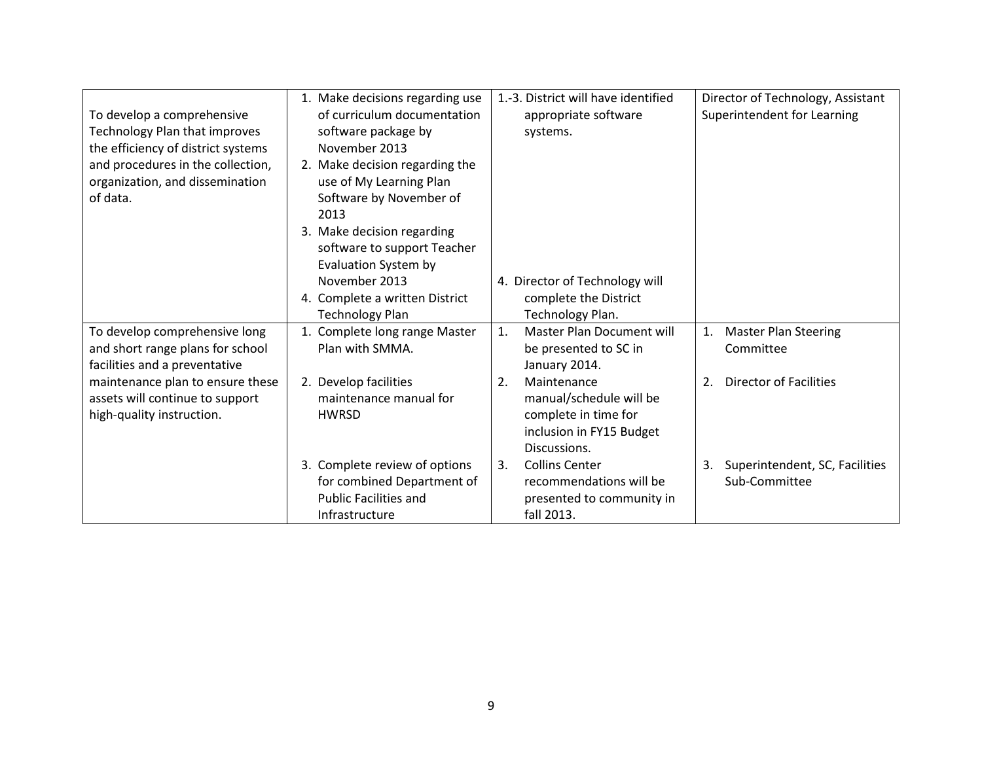|                                    | 1. Make decisions regarding use | 1.-3. District will have identified | Director of Technology, Assistant   |
|------------------------------------|---------------------------------|-------------------------------------|-------------------------------------|
| To develop a comprehensive         | of curriculum documentation     | appropriate software                | Superintendent for Learning         |
| Technology Plan that improves      | software package by             | systems.                            |                                     |
| the efficiency of district systems | November 2013                   |                                     |                                     |
| and procedures in the collection,  | 2. Make decision regarding the  |                                     |                                     |
| organization, and dissemination    | use of My Learning Plan         |                                     |                                     |
| of data.                           | Software by November of         |                                     |                                     |
|                                    | 2013                            |                                     |                                     |
|                                    | 3. Make decision regarding      |                                     |                                     |
|                                    | software to support Teacher     |                                     |                                     |
|                                    | Evaluation System by            |                                     |                                     |
|                                    | November 2013                   | 4. Director of Technology will      |                                     |
|                                    | 4. Complete a written District  | complete the District               |                                     |
|                                    | <b>Technology Plan</b>          | Technology Plan.                    |                                     |
| To develop comprehensive long      | 1. Complete long range Master   | 1.<br>Master Plan Document will     | 1. Master Plan Steering             |
| and short range plans for school   | Plan with SMMA.                 | be presented to SC in               | Committee                           |
| facilities and a preventative      |                                 | January 2014.                       |                                     |
| maintenance plan to ensure these   | 2. Develop facilities           | Maintenance<br>2.                   | <b>Director of Facilities</b><br>2. |
| assets will continue to support    | maintenance manual for          | manual/schedule will be             |                                     |
| high-quality instruction.          | <b>HWRSD</b>                    | complete in time for                |                                     |
|                                    |                                 | inclusion in FY15 Budget            |                                     |
|                                    |                                 | Discussions.                        |                                     |
|                                    | 3. Complete review of options   | <b>Collins Center</b><br>3.         | 3. Superintendent, SC, Facilities   |
|                                    | for combined Department of      | recommendations will be             | Sub-Committee                       |
|                                    | <b>Public Facilities and</b>    | presented to community in           |                                     |
|                                    | Infrastructure                  | fall 2013.                          |                                     |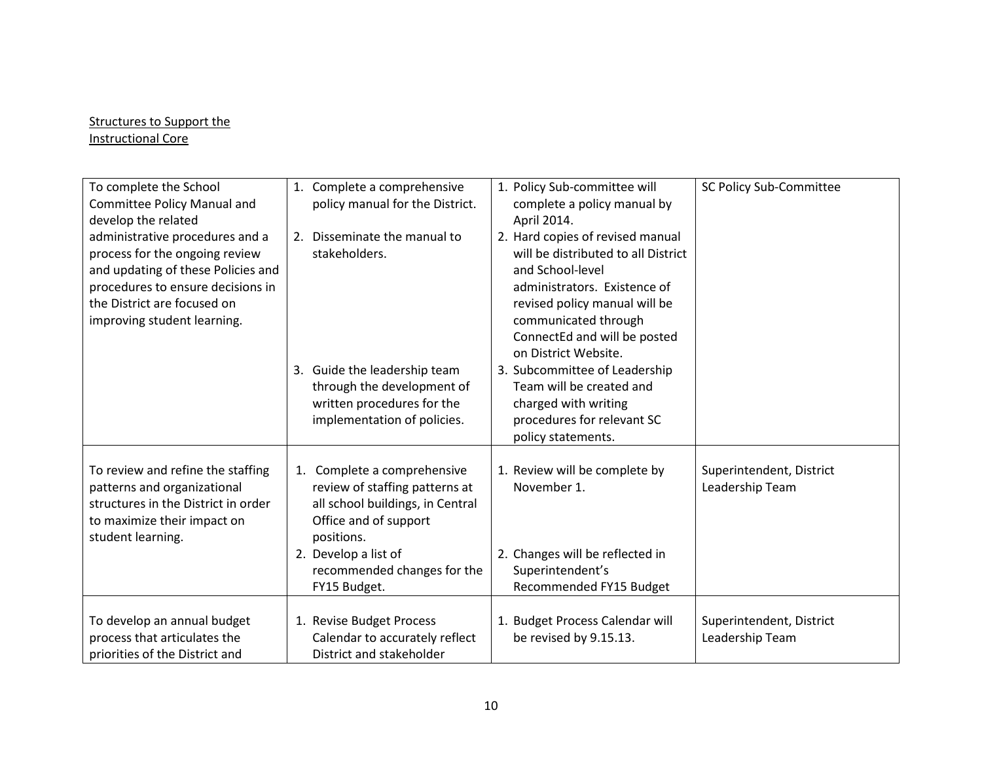### Structures to Support the Instructional Core

| To complete the School<br><b>Committee Policy Manual and</b><br>develop the related                                                                                                                        | 1. Complete a comprehensive<br>policy manual for the District.                                                                                                                                                  | 1. Policy Sub-committee will<br>complete a policy manual by<br>April 2014.                                                                                                                                                                   | SC Policy Sub-Committee                     |
|------------------------------------------------------------------------------------------------------------------------------------------------------------------------------------------------------------|-----------------------------------------------------------------------------------------------------------------------------------------------------------------------------------------------------------------|----------------------------------------------------------------------------------------------------------------------------------------------------------------------------------------------------------------------------------------------|---------------------------------------------|
| administrative procedures and a<br>process for the ongoing review<br>and updating of these Policies and<br>procedures to ensure decisions in<br>the District are focused on<br>improving student learning. | 2. Disseminate the manual to<br>stakeholders.                                                                                                                                                                   | 2. Hard copies of revised manual<br>will be distributed to all District<br>and School-level<br>administrators. Existence of<br>revised policy manual will be<br>communicated through<br>ConnectEd and will be posted<br>on District Website. |                                             |
|                                                                                                                                                                                                            | 3. Guide the leadership team<br>through the development of<br>written procedures for the<br>implementation of policies.                                                                                         | 3. Subcommittee of Leadership<br>Team will be created and<br>charged with writing<br>procedures for relevant SC<br>policy statements.                                                                                                        |                                             |
| To review and refine the staffing<br>patterns and organizational<br>structures in the District in order<br>to maximize their impact on<br>student learning.                                                | 1. Complete a comprehensive<br>review of staffing patterns at<br>all school buildings, in Central<br>Office and of support<br>positions.<br>2. Develop a list of<br>recommended changes for the<br>FY15 Budget. | 1. Review will be complete by<br>November 1.<br>2. Changes will be reflected in<br>Superintendent's<br>Recommended FY15 Budget                                                                                                               | Superintendent, District<br>Leadership Team |
| To develop an annual budget<br>process that articulates the<br>priorities of the District and                                                                                                              | 1. Revise Budget Process<br>Calendar to accurately reflect<br>District and stakeholder                                                                                                                          | 1. Budget Process Calendar will<br>be revised by 9.15.13.                                                                                                                                                                                    | Superintendent, District<br>Leadership Team |